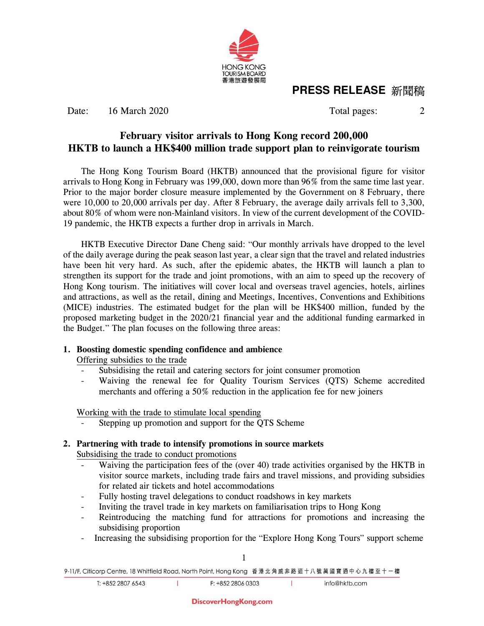

## **PRESS RELEASE** 新聞稿

Date: 16 March 2020 Total pages: 2

### **February visitor arrivals to Hong Kong record 200,000 HKTB to launch a HK\$400 million trade support plan to reinvigorate tourism**

The Hong Kong Tourism Board (HKTB) announced that the provisional figure for visitor arrivals to Hong Kong in February was 199,000, down more than 96% from the same time last year. Prior to the major border closure measure implemented by the Government on 8 February, there were 10,000 to 20,000 arrivals per day. After 8 February, the average daily arrivals fell to 3,300, about 80% of whom were non-Mainland visitors. In view of the current development of the COVID-19 pandemic, the HKTB expects a further drop in arrivals in March.

HKTB Executive Director Dane Cheng said: "Our monthly arrivals have dropped to the level of the daily average during the peak season last year, a clear sign that the travel and related industries have been hit very hard. As such, after the epidemic abates, the HKTB will launch a plan to strengthen its support for the trade and joint promotions, with an aim to speed up the recovery of Hong Kong tourism. The initiatives will cover local and overseas travel agencies, hotels, airlines and attractions, as well as the retail, dining and Meetings, Incentives, Conventions and Exhibitions (MICE) industries. The estimated budget for the plan will be HK\$400 million, funded by the proposed marketing budget in the 2020/21 financial year and the additional funding earmarked in the Budget." The plan focuses on the following three areas:

## **1. Boosting domestic spending confidence and ambience**

Offering subsidies to the trade

- Subsidising the retail and catering sectors for joint consumer promotion
- Waiving the renewal fee for Quality Tourism Services (QTS) Scheme accredited merchants and offering a 50% reduction in the application fee for new joiners

Working with the trade to stimulate local spending

T

Stepping up promotion and support for the QTS Scheme

# **2. Partnering with trade to intensify promotions in source markets**

Subsidising the trade to conduct promotions

- Waiving the participation fees of the (over 40) trade activities organised by the HKTB in visitor source markets, including trade fairs and travel missions, and providing subsidies for related air tickets and hotel accommodations
- Fully hosting travel delegations to conduct roadshows in key markets
- Inviting the travel trade in key markets on familiarisation trips to Hong Kong
- Reintroducing the matching fund for attractions for promotions and increasing the subsidising proportion
- Increasing the subsidising proportion for the "Explore Hong Kong Tours" support scheme

 $\mathbf{I}$ 

9-11/F, Citicorp Centre, 18 Whitfield Road, North Point, Hong Kong 香港北角威非路道十八號萬國寶通中心九樓至十一樓